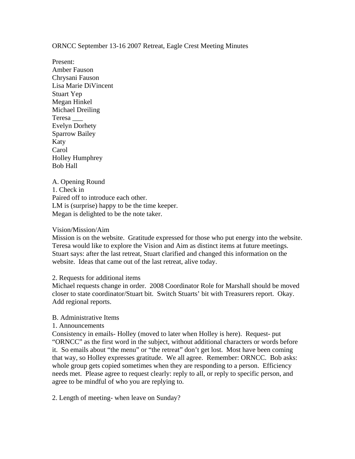ORNCC September 13-16 2007 Retreat, Eagle Crest Meeting Minutes

Present: Amber Fauson Chrysani Fauson Lisa Marie DiVincent Stuart Yep Megan Hinkel Michael Dreiling Teresa \_\_\_ Evelyn Dorhety Sparrow Bailey Katy Carol Holley Humphrey Bob Hall

A. Opening Round 1. Check in Paired off to introduce each other. LM is (surprise) happy to be the time keeper. Megan is delighted to be the note taker.

### Vision/Mission/Aim

Mission is on the website. Gratitude expressed for those who put energy into the website. Teresa would like to explore the Vision and Aim as distinct items at future meetings. Stuart says: after the last retreat, Stuart clarified and changed this information on the website. Ideas that came out of the last retreat, alive today.

2. Requests for additional items

Michael requests change in order. 2008 Coordinator Role for Marshall should be moved closer to state coordinator/Stuart bit. Switch Stuarts' bit with Treasurers report. Okay. Add regional reports.

# B. Administrative Items

1. Announcements

Consistency in emails- Holley (moved to later when Holley is here). Request- put "ORNCC" as the first word in the subject, without additional characters or words before it. So emails about "the menu" or "the retreat" don't get lost. Most have been coming that way, so Holley expresses gratitude. We all agree. Remember: ORNCC. Bob asks: whole group gets copied sometimes when they are responding to a person. Efficiency needs met. Please agree to request clearly: reply to all, or reply to specific person, and agree to be mindful of who you are replying to.

2. Length of meeting- when leave on Sunday?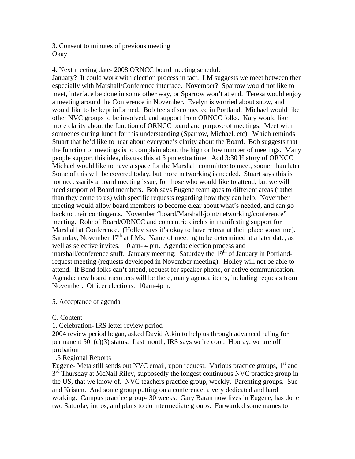3. Consent to minutes of previous meeting **Okay** 

4. Next meeting date- 2008 ORNCC board meeting schedule January? It could work with election process in tact. LM suggests we meet between then especially with Marshall/Conference interface. November? Sparrow would not like to meet, interface be done in some other way, or Sparrow won't attend. Teresa would enjoy a meeting around the Conference in November. Evelyn is worried about snow, and would like to be kept informed. Bob feels disconnected in Portland. Michael would like other NVC groups to be involved, and support from ORNCC folks. Katy would like more clarity about the function of ORNCC board and purpose of meetings. Meet with somoenes during lunch for this understanding (Sparrow, Michael, etc). Which reminds Stuart that he'd like to hear about everyone's clarity about the Board. Bob suggests that the function of meetings is to complain about the high or low number of meetings. Many people support this idea, discuss this at 3 pm extra time. Add 3:30 History of ORNCC Michael would like to have a space for the Marshall committee to meet, sooner than later. Some of this will be covered today, but more networking is needed. Stuart says this is not necessarily a board meeting issue, for those who would like to attend, but we will need support of Board members. Bob says Eugene team goes to different areas (rather than they come to us) with specific requests regarding how they can help. November meeting would allow board members to become clear about what's needed, and can go back to their contingents. November "board/Marshall/joint/networking/conference" meeting. Role of Board/ORNCC and concentric circles in manifesting support for Marshall at Conference. (Holley says it's okay to have retreat at their place sometime). Saturday, November  $17<sup>th</sup>$  at LMs. Name of meeting to be determined at a later date, as well as selective invites. 10 am- 4 pm. Agenda: election process and marshall/conference stuff. January meeting: Saturday the  $19<sup>th</sup>$  of January in Portlandrequest meeting (requests developed in November meeting). Holley will not be able to attend. If Bend folks can't attend, request for speaker phone, or active communication. Agenda: new board members will be there, many agenda items, including requests from November. Officer elections. 10am-4pm.

# 5. Acceptance of agenda

C. Content

1. Celebration- IRS letter review period

2004 review period began, asked David Atkin to help us through advanced ruling for permanent  $501(c)(3)$  status. Last month, IRS says we're cool. Hooray, we are off probation!

# 1.5 Regional Reports

Eugene- Meta still sends out NVC email, upon request. Various practice groups,  $1<sup>st</sup>$  and  $3<sup>rd</sup>$  Thursday at McNail Riley, supposedly the longest continuous NVC practice group in the US, that we know of. NVC teachers practice group, weekly. Parenting groups. Sue and Kristen. And some group putting on a conference, a very dedicated and hard working. Campus practice group- 30 weeks. Gary Baran now lives in Eugene, has done two Saturday intros, and plans to do intermediate groups. Forwarded some names to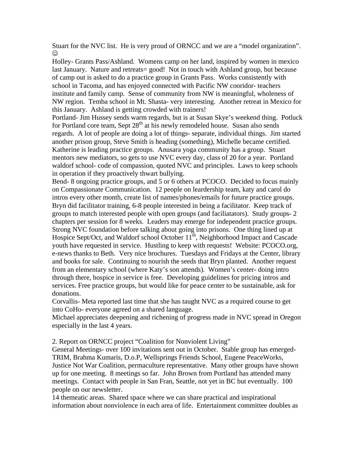Stuart for the NVC list. He is very proud of ORNCC and we are a "model organization". ☺

Holley- Grants Pass/Ashland. Womens camp on her land, inspired by women in mexico last January. Nature and retreats= good! Not in touch with Ashland group, but because of camp out is asked to do a practice group in Grants Pass. Works consistently with school in Tacoma, and has enjoyed connected with Pacific NW cooridor- teachers institute and family camp. Sense of community from NW is meaningful, wholeness of NW region. Temba school in Mt. Shasta- very interesting. Another retreat in Mexico for this January. Ashland is getting crowded with trainers!

Portland- Jim Hussey sends warm regards, but is at Susan Skye's weekend thing. Potluck for Portland core team, Sept  $28<sup>th</sup>$  at his newly remodeled house. Susan also sends regards. A lot of people are doing a lot of things- separate, individual things. Jim started another prison group, Steve Smith is heading (something), Michelle became certified. Katherine is leading practice groups. Anusara yoga community has a group. Stuart mentors new mediators, so gets to use NVC every day, class of 20 for a year. Portland waldorf school- code of compassion, quoted NVC and principles. Laws to keep schools in operation if they proactively thwart bullying.

Bend- 8 ongoing practice groups, and 5 or 6 others at PCOCO. Decided to focus mainly on Compassionate Communication. 12 people on leardership team, katy and carol do intros every other month, create list of names/phones/emails for future practice groups. Bryn did facilitator training, 6-8 people interested in being a facilitator. Keep track of groups to match interested people with open groups (and faciliatators). Study groups- 2 chapters per session for 8 weeks. Leaders may emerge for independent practice groups. Strong NVC foundation before talking about going into prisons. One thing lined up at Hospice Sept/Oct, and Waldorf school October 11<sup>th</sup>, Neighborhood Impact and Cascade youth have requested in service. Hustling to keep with requests! Website: PCOCO.org, e-news thanks to Beth. Very nice brochures. Tuesdays and Fridays at the Center, library and books for sale. Continuing to nourish the seeds that Bryn planted. Another request from an elementary school (where Katy's son attends). Women's center- doing intro through there, hospice in service is free. Developing guidelines for pricing intros and services. Free practice groups, but would like for peace center to be sustainable, ask for donations.

Corvallis- Meta reported last time that she has taught NVC as a required course to get into CoHo- everyone agreed on a shared language.

Michael appreciates deepening and richening of progress made in NVC spread in Oregon especially in the last 4 years.

2. Report on ORNCC project "Coalition for Nonviolent Living"

General Meetings- over 100 invitations sent out in October. Stable group has emerged-TRIM, Brahma Kumaris, D.o.P, Wellsprings Friends School, Eugene PeaceWorks, Justice Not War Coalition, permaculture representative. Many other groups have shown up for one meeting. 8 meetings so far. John Brown from Portland has attended many meetings. Contact with people in San Fran, Seattle, not yet in BC but eventually. 100 people on our newsletter.

14 themeatic areas. Shared space where we can share practical and inspirational information about nonviolence in each area of life. Entertainment committee doubles as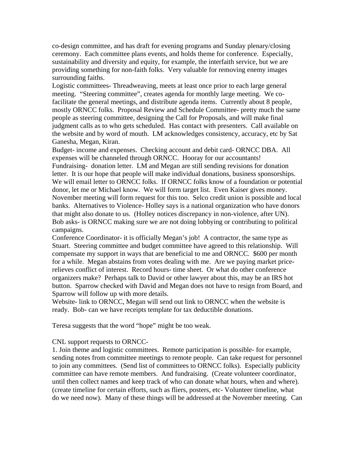co-design committee, and has draft for evening programs and Sunday plenary/closing ceremony. Each committee plans events, and holds theme for conference. Especially, sustainability and diversity and equity, for example, the interfaith service, but we are providing something for non-faith folks. Very valuable for removing enemy images surrounding faiths.

Logistic committees- Threadweaving, meets at least once prior to each large general meeting. "Steering committee", creates agenda for monthly large meeting. We cofacilitate the general meetings, and distribute agenda items. Currently about 8 people, mostly ORNCC folks. Proposal Review and Schedule Committee- pretty much the same people as steering committee, designing the Call for Proposals, and will make final judgment calls as to who gets scheduled. Has contact with presenters. Call available on the website and by word of mouth. LM acknowledges consistency, accuracy, etc by Sat Ganesha, Megan, Kiran.

Budget- income and expenses. Checking account and debit card- ORNCC DBA. All expenses will be channeled through ORNCC. Hooray for our accountants! Fundraising- donation letter. LM and Megan are still sending revisions for donation letter. It is our hope that people will make individual donations, business sponsorships. We will email letter to ORNCC folks. If ORNCC folks know of a foundation or potential donor, let me or Michael know. We will form target list. Even Kaiser gives money. November meeting will form request for this too. Selco credit union is possible and local banks. Alternatives to Violence- Holley says is a national organization who have donors that might also donate to us. (Holley notices discrepancy in non-violence, after UN). Bob asks- is ORNCC making sure we are not doing lobbying or contributing to political campaigns.

Conference Coordinator- it is officially Megan's job! A contractor, the same type as Stuart. Steering committee and budget committee have agreed to this relationship. Will compensate my support in ways that are beneficial to me and ORNCC. \$600 per month for a while. Megan abstains from votes dealing with me. Are we paying market pricerelieves conflict of interest. Record hours- time sheet. Or what do other conference organizers make? Perhaps talk to David or other lawyer about this, may be an IRS hot button. Sparrow checked with David and Megan does not have to resign from Board, and Sparrow will follow up with more details.

Website- link to ORNCC, Megan will send out link to ORNCC when the website is ready. Bob- can we have receipts template for tax deductible donations.

Teresa suggests that the word "hope" might be too weak.

### CNL support requests to ORNCC-

1. Join theme and logistic committees. Remote participation is possible- for example, sending notes from committee meetings to remote people. Can take request for personnel to join any committees. (Send list of committees to ORNCC folks). Especially publicity committee can have remote members. And fundraising. (Create volunteer coordinator, until then collect names and keep track of who can donate what hours, when and where). (create timeline for certain efforts, such as fliers, posters, etc- Volunteer timeline, what do we need now). Many of these things will be addressed at the November meeting. Can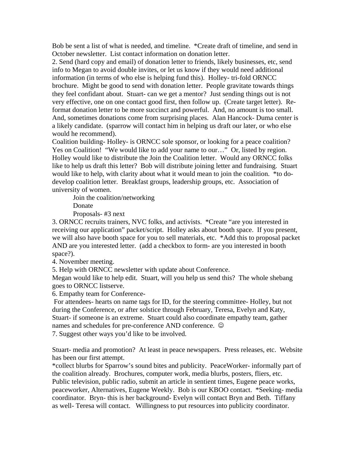Bob be sent a list of what is needed, and timeline. \*Create draft of timeline, and send in October newsletter. List contact information on donation letter.

2. Send (hard copy and email) of donation letter to friends, likely businesses, etc, send info to Megan to avoid double invites, or let us know if they would need additional information (in terms of who else is helping fund this). Holley- tri-fold ORNCC brochure. Might be good to send with donation letter. People gravitate towards things they feel confidant about. Stuart- can we get a mentor? Just sending things out is not very effective, one on one contact good first, then follow up. (Create target letter). Reformat donation letter to be more succinct and powerful. And, no amount is too small. And, sometimes donations come from surprising places. Alan Hancock- Duma center is a likely candidate. (sparrow will contact him in helping us draft our later, or who else would he recommend).

Coalition building- Holley- is ORNCC sole sponsor, or looking for a peace coalition? Yes on Coalition! "We would like to add your name to our..." Or, listed by region. Holley would like to distribute the Join the Coalition letter. Would any ORNCC folks like to help us draft this letter? Bob will distribute joining letter and fundraising. Stuart would like to help, with clarity about what it would mean to join the coalition. \*to dodevelop coalition letter. Breakfast groups, leadership groups, etc. Association of university of women.

Join the coalition/networking

Donate

Proposals- #3 next

3. ORNCC recruits trainers, NVC folks, and activists. \*Create "are you interested in receiving our application" packet/script. Holley asks about booth space. If you present, we will also have booth space for you to sell materials, etc. \*Add this to proposal packet AND are you interested letter. (add a checkbox to form- are you interested in booth space?).

4. November meeting.

5. Help with ORNCC newsletter with update about Conference.

Megan would like to help edit. Stuart, will you help us send this? The whole shebang goes to ORNCC listserve.

6. Empathy team for Conference-

 For attendees- hearts on name tags for ID, for the steering committee- Holley, but not during the Conference, or after solstice through February, Teresa, Evelyn and Katy, Stuart- if someone is an extreme. Stuart could also coordinate empathy team, gather names and schedules for pre-conference AND conference.

7. Suggest other ways you'd like to be involved.

Stuart- media and promotion? At least in peace newspapers. Press releases, etc. Website has been our first attempt.

\*collect blurbs for Sparrow's sound bites and publicity. PeaceWorker- informally part of the coalition already. Brochures, computer work, media blurbs, posters, fliers, etc. Public television, public radio, submit an article in sentient times, Eugene peace works, peaceworker, Alternatives, Eugene Weekly. Bob is our KBOO contact. \*Seeking- media coordinator. Bryn- this is her background- Evelyn will contact Bryn and Beth. Tiffany as well- Teresa will contact. Willingness to put resources into publicity coordinator.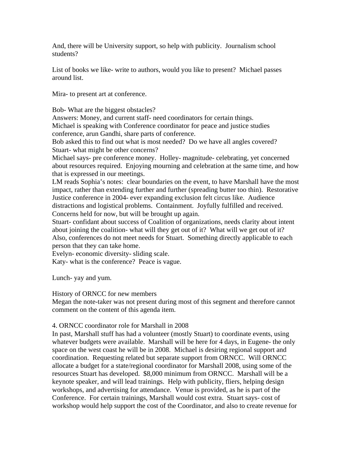And, there will be University support, so help with publicity. Journalism school students?

List of books we like- write to authors, would you like to present? Michael passes around list.

Mira- to present art at conference.

Bob- What are the biggest obstacles?

Answers: Money, and current staff- need coordinators for certain things. Michael is speaking with Conference coordinator for peace and justice studies conference, arun Gandhi, share parts of conference.

Bob asked this to find out what is most needed? Do we have all angles covered? Stuart- what might be other concerns?

Michael says- pre conference money. Holley- magnitude- celebrating, yet concerned about resources required. Enjoying mourning and celebration at the same time, and how that is expressed in our meetings.

LM reads Sophia's notes: clear boundaries on the event, to have Marshall have the most impact, rather than extending further and further (spreading butter too thin). Restorative Justice conference in 2004- ever expanding exclusion felt circus like. Audience distractions and logistical problems. Containment. Joyfully fulfilled and received. Concerns held for now, but will be brought up again.

Stuart- confidant about success of Coalition of organizations, needs clarity about intent about joining the coalition- what will they get out of it? What will we get out of it? Also, conferences do not meet needs for Stuart. Something directly applicable to each person that they can take home.

Evelyn- economic diversity- sliding scale.

Katy- what is the conference? Peace is vague.

Lunch- yay and yum.

History of ORNCC for new members

Megan the note-taker was not present during most of this segment and therefore cannot comment on the content of this agenda item.

# 4. ORNCC coordinator role for Marshall in 2008

In past, Marshall stuff has had a volunteer (mostly Stuart) to coordinate events, using whatever budgets were available. Marshall will be here for 4 days, in Eugene- the only space on the west coast he will be in 2008. Michael is desiring regional support and coordination. Requesting related but separate support from ORNCC. Will ORNCC allocate a budget for a state/regional coordinator for Marshall 2008, using some of the resources Stuart has developed. \$8,000 minimum from ORNCC. Marshall will be a keynote speaker, and will lead trainings. Help with publicity, fliers, helping design workshops, and advertising for attendance. Venue is provided, as he is part of the Conference. For certain trainings, Marshall would cost extra. Stuart says- cost of workshop would help support the cost of the Coordinator, and also to create revenue for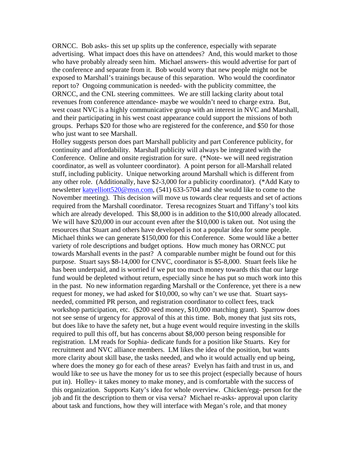ORNCC. Bob asks- this set up splits up the conference, especially with separate advertising. What impact does this have on attendees? And, this would market to those who have probably already seen him. Michael answers- this would advertise for part of the conference and separate from it. Bob would worry that new people might not be exposed to Marshall's trainings because of this separation. Who would the coordinator report to? Ongoing communication is needed- with the publicity committee, the ORNCC, and the CNL steering committees. We are still lacking clarity about total revenues from conference attendance- maybe we wouldn't need to charge extra. But, west coast NVC is a highly communicative group with an interest in NVC and Marshall, and their participating in his west coast appearance could support the missions of both groups. Perhaps \$20 for those who are registered for the conference, and \$50 for those who just want to see Marshall.

Holley suggests person does part Marshall publicity and part Conference publicity, for continuity and affordability. Marshall publicity will always be integrated with the Conference. Online and onsite registration for sure. (\*Note- we will need registration coordinator, as well as volunteer coordinator). A point person for all-Marshall related stuff, including publicity. Unique networking around Marshall which is different from any other role. (Additionally, have \$2-3,000 for a publicity coordinator). (\*Add Katy to newsletter katyelliott520@msn.com, (541) 633-5704 and she would like to come to the November meeting). This decision will move us towards clear requests and set of actions required from the Marshall coordinator. Teresa recognizes Stuart and Tiffany's tool kits which are already developed. This \$8,000 is in addition to the \$10,000 already allocated. We will have \$20,000 in our account even after the \$10,000 is taken out. Not using the resources that Stuart and others have developed is not a popular idea for some people. Michael thinks we can generate \$150,000 for this Conference. Some would like a better variety of role descriptions and budget options. How much money has ORNCC put towards Marshall events in the past? A comparable number might be found out for this purpose. Stuart says \$8-14,000 for CNVC, coordinator is \$5-8,000. Stuart feels like he has been underpaid, and is worried if we put too much money towards this that our large fund would be depleted without return, especially since he has put so much work into this in the past. No new information regarding Marshall or the Conference, yet there is a new request for money, we had asked for \$10,000, so why can't we use that. Stuart saysneeded, committed PR person, and registration coordinator to collect fees, track workshop participation, etc. (\$200 seed money, \$10,000 matching grant). Sparrow does not see sense of urgency for approval of this at this time. Bob, money that just sits rots, but does like to have the safety net, but a huge event would require investing in the skills required to pull this off, but has concerns about \$8,000 person being responsible for registration. LM reads for Sophia- dedicate funds for a position like Stuarts. Key for recruitment and NVC alliance members. LM likes the idea of the position, but wants more clarity about skill base, the tasks needed, and who it would actually end up being, where does the money go for each of these areas? Evelyn has faith and trust in us, and would like to see us have the money for us to see this project (especially because of hours put in). Holley- it takes money to make money, and is comfortable with the success of this organization. Supports Katy's idea for whole overview. Chicken/egg- person for the job and fit the description to them or visa versa? Michael re-asks- approval upon clarity about task and functions, how they will interface with Megan's role, and that money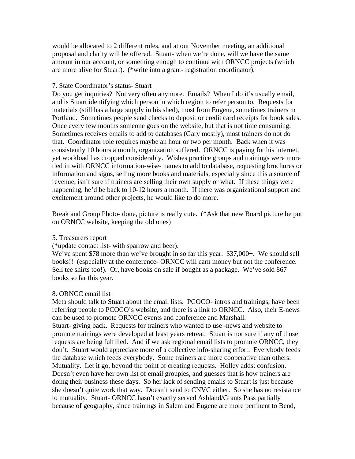would be allocated to 2 different roles, and at our November meeting, an additional proposal and clarity will be offered. Stuart- when we're done, will we have the same amount in our account, or something enough to continue with ORNCC projects (which are more alive for Stuart). (\*write into a grant- registration coordinator).

### 7. State Coordinator's status- Stuart

Do you get inquiries? Not very often anymore. Emails? When I do it's usually email, and is Stuart identifying which person in which region to refer person to. Requests for materials (still has a large supply in his shed), most from Eugene, sometimes trainers in Portland. Sometimes people send checks to deposit or credit card receipts for book sales. Once every few months someone goes on the website, but that is not time consuming. Sometimes receives emails to add to databases (Gary mostly), most trainers do not do that. Coordinator role requires maybe an hour or two per month. Back when it was consistently 10 hours a month, organization suffered. ORNCC is paying for his internet, yet workload has dropped considerably. Wishes practice groups and trainings were more tied in with ORNCC information-wise- names to add to database, requesting brochures or information and signs, selling more books and materials, especially since this a source of revenue, isn't sure if trainers are selling their own supply or what. If these things were happening, he'd be back to 10-12 hours a month. If there was organizational support and excitement around other projects, he would like to do more.

Break and Group Photo- done, picture is really cute. (\*Ask that new Board picture be put on ORNCC website, keeping the old ones)

# 5. Treasurers report

(\*update contact list- with sparrow and beer).

We've spent \$78 more than we've brought in so far this year. \$37,000+. We should sell books!! (especially at the conference- ORNCC will earn money but not the conference. Sell tee shirts too!). Or, have books on sale if bought as a package. We've sold 867 books so far this year.

# 8. ORNCC email list

Meta should talk to Stuart about the email lists. PCOCO- intros and trainings, have been referring people to PCOCO's website, and there is a link to ORNCC. Also, their E-news can be used to promote ORNCC events and conference and Marshall.

Stuart- giving back. Requests for trainers who wanted to use -news and website to promote trainings were developed at least years retreat. Stuart is not sure if any of those requests are being fulfilled. And if we ask regional email lists to promote ORNCC, they don't. Stuart would appreciate more of a collective info-sharing effort. Everybody feeds the database which feeds everybody. Some trainers are more cooperative than others. Mutuality. Let it go, beyond the point of creating requests. Holley adds: confusion. Doesn't even have her own list of email groupies, and guesses that is how trainers are doing their business these days. So her lack of sending emails to Stuart is just because she doesn't quite work that way. Doesn't send to CNVC either. So she has no resistance to mutuality. Stuart- ORNCC hasn't exactly served Ashland/Grants Pass partially because of geography, since trainings in Salem and Eugene are more pertinent to Bend,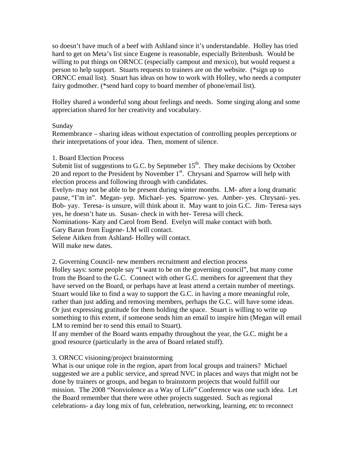so doesn't have much of a beef with Ashland since it's understandable. Holley has tried hard to get on Meta's list since Eugene is reasonable, especially Britenbush. Would be willing to put things on ORNCC (especially campout and mexico), but would request a person to help support. Stuarts requests to trainers are on the website. (\*sign up to ORNCC email list). Stuart has ideas on how to work with Holley, who needs a computer fairy godmother. (\*send hard copy to board member of phone/email list).

Holley shared a wonderful song about feelings and needs. Some singing along and some appreciation shared for her creativity and vocabulary.

### Sunday

Remembrance – sharing ideas without expectation of controlling peoples perceptions or their interpretations of your idea. Then, moment of silence.

#### 1. Board Election Process

Submit list of suggestions to G.C. by Septmeber  $15<sup>th</sup>$ . They make decisions by October 20 and report to the President by November  $1<sup>st</sup>$ . Chrysani and Sparrow will help with election process and following through with candidates.

Evelyn- may not be able to be present during winter months. LM- after a long dramatic pause, "I'm in". Megan- yep. Michael- yes. Sparrow- yes. Amber- yes. Chrysani- yes. Bob- yay. Teresa- is unsure, will think about it. May want to join G.C. Jim- Teresa says yes, he doesn't hate us. Susan- check in with her- Teresa will check.

Nominations- Katy and Carol from Bend. Evelyn will make contact with both.

Gary Baran from Eugene- LM will contact.

Selene Aitken from Ashland- Holley will contact.

Will make new dates.

2. Governing Council- new members recruitment and election process

Holley says: some people say "I want to be on the governing council", but many come from the Board to the G.C. Connect with other G.C. members for agreement that they have served on the Board, or perhaps have at least attend a certain number of meetings. Stuart would like to find a way to support the G.C. in having a more meaningful role, rather than just adding and removing members, perhaps the G.C. will have some ideas. Or just expressing gratitude for them holding the space. Stuart is willing to write up something to this extent, if someone sends him an email to inspire him (Megan will email LM to remind her to send this email to Stuart).

If any member of the Board wants empathy throughout the year, the G.C. might be a good resource (particularly in the area of Board related stuff).

### 3. ORNCC visioning/project brainstorming

What is our unique role in the region, apart from local groups and trainers? Michael suggested we are a public service, and spread NVC in places and ways that might not be done by trainers or groups, and began to brainstorm projects that would fulfill our mission. The 2008 "Nonviolence as a Way of Life" Conference was one such idea. Let the Board remember that there were other projects suggested. Such as regional celebrations- a day long mix of fun, celebration, networking, learning, etc to reconnect